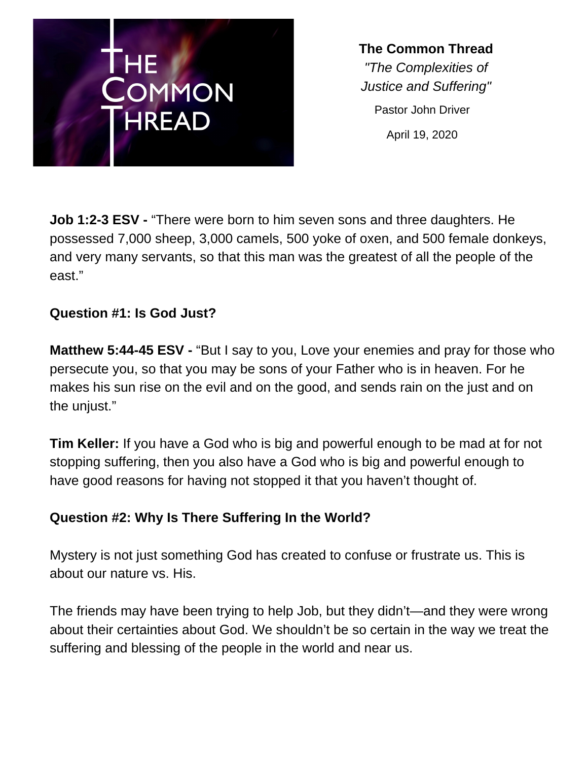

**The Common Thread** *"The Complexities of Justice and Suffering"* Pastor John Driver April 19, 2020

**Job 1:2-3 ESV -** "There were born to him seven sons and three daughters. He possessed 7,000 sheep, 3,000 camels, 500 yoke of oxen, and 500 female donkeys, and very many servants, so that this man was the greatest of all the people of the east."

## **Question #1: Is God Just?**

**Matthew 5:44-45 ESV -** "But I say to you, Love your enemies and pray for those who persecute you, so that you may be sons of your Father who is in heaven. For he makes his sun rise on the evil and on the good, and sends rain on the just and on the unjust."

**Tim Keller:** If you have a God who is big and powerful enough to be mad at for not stopping suffering, then you also have a God who is big and powerful enough to have good reasons for having not stopped it that you haven't thought of.

## **Question #2: Why Is There Suffering In the World?**

Mystery is not just something God has created to confuse or frustrate us. This is about our nature vs. His.

The friends may have been trying to help Job, but they didn't—and they were wrong about their certainties about God. We shouldn't be so certain in the way we treat the suffering and blessing of the people in the world and near us.